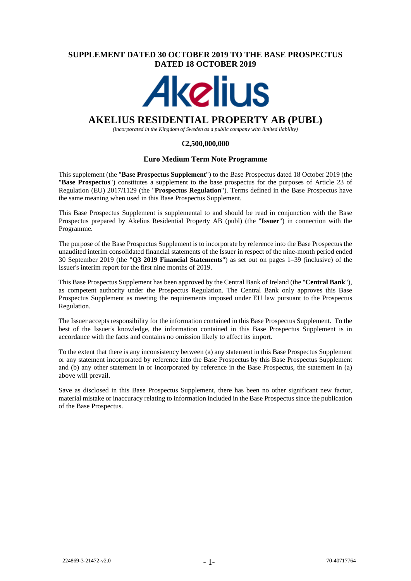### **SUPPLEMENT DATED 30 OCTOBER 2019 TO THE BASE PROSPECTUS DATED 18 OCTOBER 2019**

# **Akelius**

## **AKELIUS RESIDENTIAL PROPERTY AB (PUBL)**

*(incorporated in the Kingdom of Sweden as a public company with limited liability)*

#### **€2,500,000,000**

#### **Euro Medium Term Note Programme**

This supplement (the "**Base Prospectus Supplement**") to the Base Prospectus dated 18 October 2019 (the "**Base Prospectus**") constitutes a supplement to the base prospectus for the purposes of Article 23 of Regulation (EU) 2017/1129 (the "**Prospectus Regulation**"). Terms defined in the Base Prospectus have the same meaning when used in this Base Prospectus Supplement.

This Base Prospectus Supplement is supplemental to and should be read in conjunction with the Base Prospectus prepared by Akelius Residential Property AB (publ) (the "**Issuer**") in connection with the Programme.

The purpose of the Base Prospectus Supplement is to incorporate by reference into the Base Prospectus the unaudited interim consolidated financial statements of the Issuer in respect of the nine-month period ended 30 September 2019 (the "**Q3 2019 Financial Statements**") as set out on pages 1–39 (inclusive) of the Issuer's interim report for the first nine months of 2019.

This Base Prospectus Supplement has been approved by the Central Bank of Ireland (the "**Central Bank**"), as competent authority under the Prospectus Regulation. The Central Bank only approves this Base Prospectus Supplement as meeting the requirements imposed under EU law pursuant to the Prospectus Regulation.

The Issuer accepts responsibility for the information contained in this Base Prospectus Supplement. To the best of the Issuer's knowledge, the information contained in this Base Prospectus Supplement is in accordance with the facts and contains no omission likely to affect its import.

To the extent that there is any inconsistency between (a) any statement in this Base Prospectus Supplement or any statement incorporated by reference into the Base Prospectus by this Base Prospectus Supplement and (b) any other statement in or incorporated by reference in the Base Prospectus, the statement in (a) above will prevail.

Save as disclosed in this Base Prospectus Supplement, there has been no other significant new factor, material mistake or inaccuracy relating to information included in the Base Prospectus since the publication of the Base Prospectus.